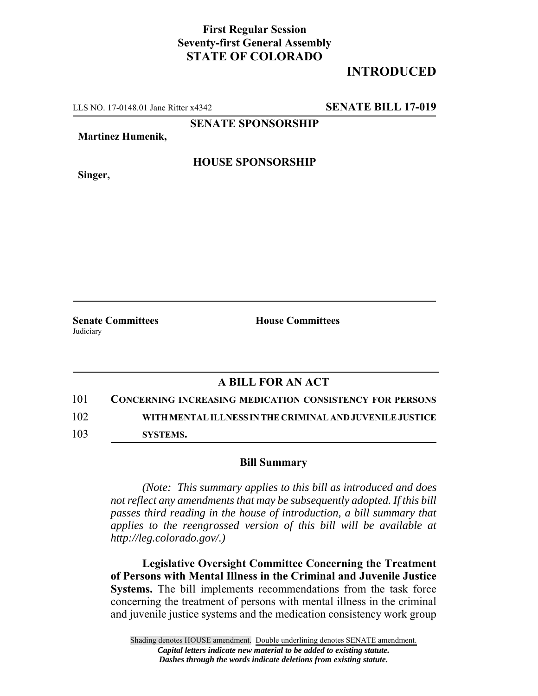## **First Regular Session Seventy-first General Assembly STATE OF COLORADO**

## **INTRODUCED**

LLS NO. 17-0148.01 Jane Ritter x4342 **SENATE BILL 17-019**

**SENATE SPONSORSHIP**

**Martinez Humenik,**

**HOUSE SPONSORSHIP**

**Singer,**

**Senate Committees House Committees Judiciary** 

## **A BILL FOR AN ACT**

101 **CONCERNING INCREASING MEDICATION CONSISTENCY FOR PERSONS** 102 **WITH MENTAL ILLNESS IN THE CRIMINAL AND JUVENILE JUSTICE**

103 **SYSTEMS.**

## **Bill Summary**

*(Note: This summary applies to this bill as introduced and does not reflect any amendments that may be subsequently adopted. If this bill passes third reading in the house of introduction, a bill summary that applies to the reengrossed version of this bill will be available at http://leg.colorado.gov/.)*

**Legislative Oversight Committee Concerning the Treatment of Persons with Mental Illness in the Criminal and Juvenile Justice Systems.** The bill implements recommendations from the task force concerning the treatment of persons with mental illness in the criminal and juvenile justice systems and the medication consistency work group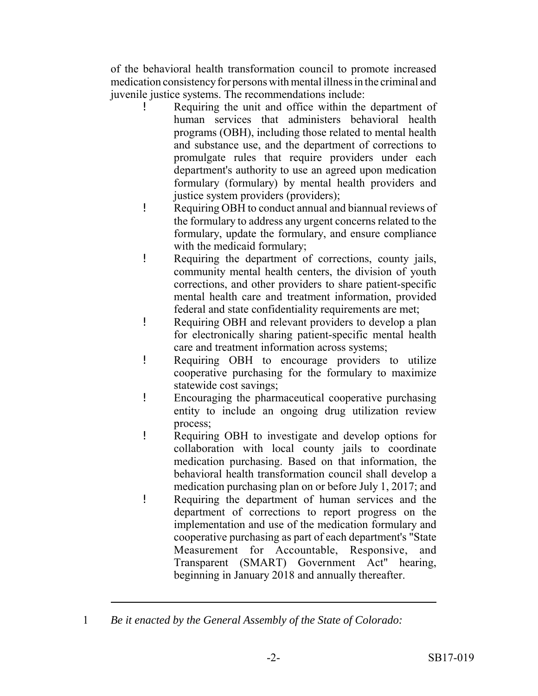of the behavioral health transformation council to promote increased medication consistency for persons with mental illness in the criminal and juvenile justice systems. The recommendations include:

- Requiring the unit and office within the department of human services that administers behavioral health programs (OBH), including those related to mental health and substance use, and the department of corrections to promulgate rules that require providers under each department's authority to use an agreed upon medication formulary (formulary) by mental health providers and justice system providers (providers);
- ! Requiring OBH to conduct annual and biannual reviews of the formulary to address any urgent concerns related to the formulary, update the formulary, and ensure compliance with the medicaid formulary;
- ! Requiring the department of corrections, county jails, community mental health centers, the division of youth corrections, and other providers to share patient-specific mental health care and treatment information, provided federal and state confidentiality requirements are met;
- ! Requiring OBH and relevant providers to develop a plan for electronically sharing patient-specific mental health care and treatment information across systems;
- ! Requiring OBH to encourage providers to utilize cooperative purchasing for the formulary to maximize statewide cost savings;
- ! Encouraging the pharmaceutical cooperative purchasing entity to include an ongoing drug utilization review process;
- ! Requiring OBH to investigate and develop options for collaboration with local county jails to coordinate medication purchasing. Based on that information, the behavioral health transformation council shall develop a medication purchasing plan on or before July 1, 2017; and
- ! Requiring the department of human services and the department of corrections to report progress on the implementation and use of the medication formulary and cooperative purchasing as part of each department's "State Measurement for Accountable, Responsive, and Transparent (SMART) Government Act" hearing, beginning in January 2018 and annually thereafter.

<sup>1</sup> *Be it enacted by the General Assembly of the State of Colorado:*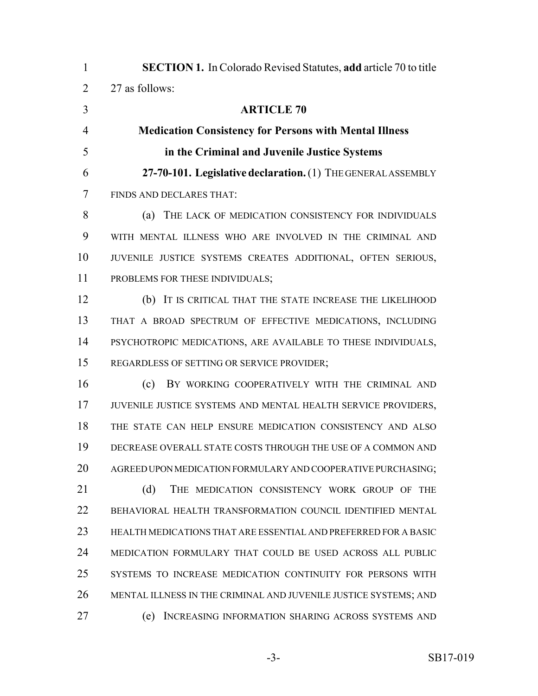| $\mathbf{1}$   | <b>SECTION 1.</b> In Colorado Revised Statutes, add article 70 to title |
|----------------|-------------------------------------------------------------------------|
| $\overline{2}$ | 27 as follows:                                                          |
| 3              | <b>ARTICLE 70</b>                                                       |
| $\overline{4}$ | <b>Medication Consistency for Persons with Mental Illness</b>           |
| 5              | in the Criminal and Juvenile Justice Systems                            |
| 6              | 27-70-101. Legislative declaration. (1) THE GENERAL ASSEMBLY            |
| 7              | FINDS AND DECLARES THAT:                                                |
| 8              | THE LACK OF MEDICATION CONSISTENCY FOR INDIVIDUALS<br>(a)               |
| 9              | WITH MENTAL ILLNESS WHO ARE INVOLVED IN THE CRIMINAL AND                |
| 10             | JUVENILE JUSTICE SYSTEMS CREATES ADDITIONAL, OFTEN SERIOUS,             |
| 11             | PROBLEMS FOR THESE INDIVIDUALS;                                         |
| 12             | (b) IT IS CRITICAL THAT THE STATE INCREASE THE LIKELIHOOD               |
| 13             | THAT A BROAD SPECTRUM OF EFFECTIVE MEDICATIONS, INCLUDING               |
| 14             | PSYCHOTROPIC MEDICATIONS, ARE AVAILABLE TO THESE INDIVIDUALS,           |
| 15             | REGARDLESS OF SETTING OR SERVICE PROVIDER;                              |
| 16             | BY WORKING COOPERATIVELY WITH THE CRIMINAL AND<br>(c)                   |
| 17             | JUVENILE JUSTICE SYSTEMS AND MENTAL HEALTH SERVICE PROVIDERS,           |
| 18             | THE STATE CAN HELP ENSURE MEDICATION CONSISTENCY AND ALSO               |
| 19             | DECREASE OVERALL STATE COSTS THROUGH THE USE OF A COMMON AND            |
| 20             | AGREED UPON MEDICATION FORMULARY AND COOPERATIVE PURCHASING;            |
| 21             | (d)<br>THE MEDICATION CONSISTENCY WORK GROUP OF<br><b>THE</b>           |
| 22             | BEHAVIORAL HEALTH TRANSFORMATION COUNCIL IDENTIFIED MENTAL              |
| 23             | HEALTH MEDICATIONS THAT ARE ESSENTIAL AND PREFERRED FOR A BASIC         |
| 24             | MEDICATION FORMULARY THAT COULD BE USED ACROSS ALL PUBLIC               |
| 25             | SYSTEMS TO INCREASE MEDICATION CONTINUITY FOR PERSONS WITH              |
| 26             | MENTAL ILLNESS IN THE CRIMINAL AND JUVENILE JUSTICE SYSTEMS; AND        |
| 27             | INCREASING INFORMATION SHARING ACROSS SYSTEMS AND<br>(e)                |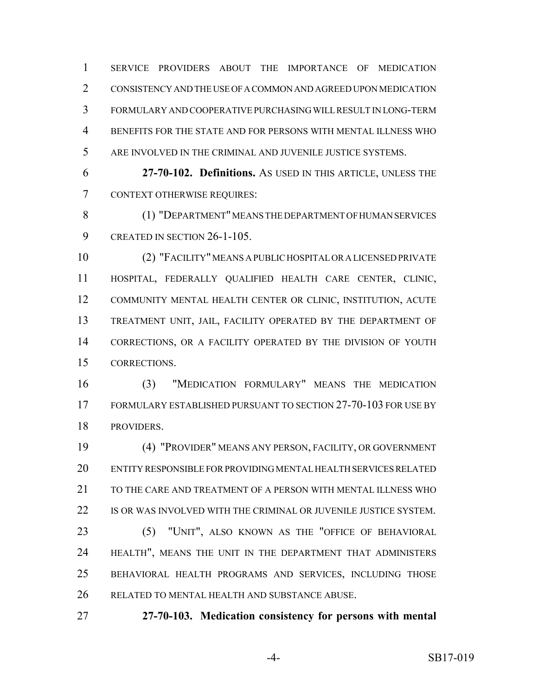SERVICE PROVIDERS ABOUT THE IMPORTANCE OF MEDICATION CONSISTENCY AND THE USE OF A COMMON AND AGREED UPON MEDICATION FORMULARY AND COOPERATIVE PURCHASING WILL RESULT IN LONG-TERM BENEFITS FOR THE STATE AND FOR PERSONS WITH MENTAL ILLNESS WHO ARE INVOLVED IN THE CRIMINAL AND JUVENILE JUSTICE SYSTEMS.

 **27-70-102. Definitions.** AS USED IN THIS ARTICLE, UNLESS THE CONTEXT OTHERWISE REQUIRES:

 (1) "DEPARTMENT" MEANS THE DEPARTMENT OF HUMAN SERVICES 9 CREATED IN SECTION 26-1-105.

 (2) "FACILITY" MEANS A PUBLIC HOSPITAL OR A LICENSED PRIVATE HOSPITAL, FEDERALLY QUALIFIED HEALTH CARE CENTER, CLINIC, COMMUNITY MENTAL HEALTH CENTER OR CLINIC, INSTITUTION, ACUTE TREATMENT UNIT, JAIL, FACILITY OPERATED BY THE DEPARTMENT OF CORRECTIONS, OR A FACILITY OPERATED BY THE DIVISION OF YOUTH CORRECTIONS.

 (3) "MEDICATION FORMULARY" MEANS THE MEDICATION FORMULARY ESTABLISHED PURSUANT TO SECTION 27-70-103 FOR USE BY PROVIDERS.

 (4) "PROVIDER" MEANS ANY PERSON, FACILITY, OR GOVERNMENT ENTITY RESPONSIBLE FOR PROVIDING MENTAL HEALTH SERVICES RELATED 21 TO THE CARE AND TREATMENT OF A PERSON WITH MENTAL ILLNESS WHO IS OR WAS INVOLVED WITH THE CRIMINAL OR JUVENILE JUSTICE SYSTEM.

 (5) "UNIT", ALSO KNOWN AS THE "OFFICE OF BEHAVIORAL HEALTH", MEANS THE UNIT IN THE DEPARTMENT THAT ADMINISTERS BEHAVIORAL HEALTH PROGRAMS AND SERVICES, INCLUDING THOSE RELATED TO MENTAL HEALTH AND SUBSTANCE ABUSE.

**27-70-103. Medication consistency for persons with mental**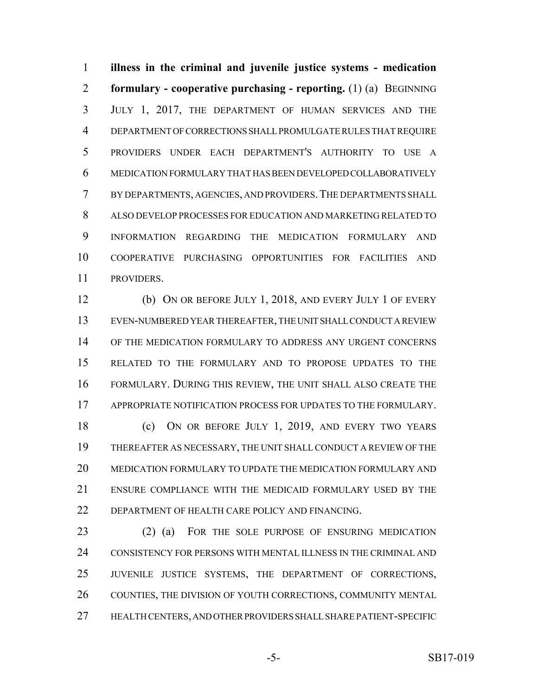**illness in the criminal and juvenile justice systems - medication formulary - cooperative purchasing - reporting.** (1) (a) BEGINNING JULY 1, 2017, THE DEPARTMENT OF HUMAN SERVICES AND THE DEPARTMENT OF CORRECTIONS SHALL PROMULGATE RULES THAT REQUIRE PROVIDERS UNDER EACH DEPARTMENT'S AUTHORITY TO USE A MEDICATION FORMULARY THAT HAS BEEN DEVELOPED COLLABORATIVELY BY DEPARTMENTS, AGENCIES, AND PROVIDERS.THE DEPARTMENTS SHALL ALSO DEVELOP PROCESSES FOR EDUCATION AND MARKETING RELATED TO INFORMATION REGARDING THE MEDICATION FORMULARY AND COOPERATIVE PURCHASING OPPORTUNITIES FOR FACILITIES AND PROVIDERS.

 (b) ON OR BEFORE JULY 1, 2018, AND EVERY JULY 1 OF EVERY EVEN-NUMBERED YEAR THEREAFTER, THE UNIT SHALL CONDUCT A REVIEW OF THE MEDICATION FORMULARY TO ADDRESS ANY URGENT CONCERNS RELATED TO THE FORMULARY AND TO PROPOSE UPDATES TO THE FORMULARY. DURING THIS REVIEW, THE UNIT SHALL ALSO CREATE THE APPROPRIATE NOTIFICATION PROCESS FOR UPDATES TO THE FORMULARY.

 (c) ON OR BEFORE JULY 1, 2019, AND EVERY TWO YEARS THEREAFTER AS NECESSARY, THE UNIT SHALL CONDUCT A REVIEW OF THE MEDICATION FORMULARY TO UPDATE THE MEDICATION FORMULARY AND ENSURE COMPLIANCE WITH THE MEDICAID FORMULARY USED BY THE 22 DEPARTMENT OF HEALTH CARE POLICY AND FINANCING.

 (2) (a) FOR THE SOLE PURPOSE OF ENSURING MEDICATION CONSISTENCY FOR PERSONS WITH MENTAL ILLNESS IN THE CRIMINAL AND JUVENILE JUSTICE SYSTEMS, THE DEPARTMENT OF CORRECTIONS, COUNTIES, THE DIVISION OF YOUTH CORRECTIONS, COMMUNITY MENTAL HEALTH CENTERS, AND OTHER PROVIDERS SHALL SHARE PATIENT-SPECIFIC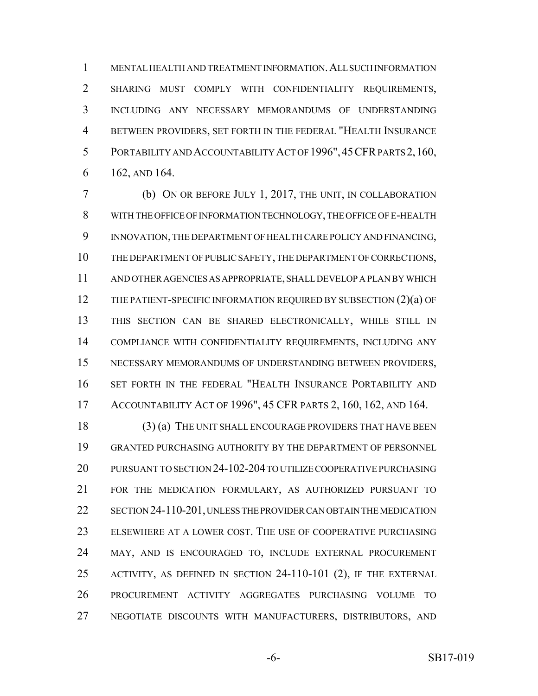MENTAL HEALTH AND TREATMENT INFORMATION.ALL SUCH INFORMATION SHARING MUST COMPLY WITH CONFIDENTIALITY REQUIREMENTS, INCLUDING ANY NECESSARY MEMORANDUMS OF UNDERSTANDING BETWEEN PROVIDERS, SET FORTH IN THE FEDERAL "HEALTH INSURANCE PORTABILITY AND ACCOUNTABILITY ACT OF 1996",45CFR PARTS 2,160, 162, AND 164.

 (b) ON OR BEFORE JULY 1, 2017, THE UNIT, IN COLLABORATION WITH THE OFFICE OF INFORMATION TECHNOLOGY, THE OFFICE OF E-HEALTH INNOVATION, THE DEPARTMENT OF HEALTH CARE POLICY AND FINANCING, THE DEPARTMENT OF PUBLIC SAFETY, THE DEPARTMENT OF CORRECTIONS, AND OTHER AGENCIES AS APPROPRIATE, SHALL DEVELOP A PLAN BY WHICH 12 THE PATIENT-SPECIFIC INFORMATION REQUIRED BY SUBSECTION (2)(a) OF THIS SECTION CAN BE SHARED ELECTRONICALLY, WHILE STILL IN COMPLIANCE WITH CONFIDENTIALITY REQUIREMENTS, INCLUDING ANY NECESSARY MEMORANDUMS OF UNDERSTANDING BETWEEN PROVIDERS, SET FORTH IN THE FEDERAL "HEALTH INSURANCE PORTABILITY AND ACCOUNTABILITY ACT OF 1996", 45 CFR PARTS 2, 160, 162, AND 164.

 (3) (a) THE UNIT SHALL ENCOURAGE PROVIDERS THAT HAVE BEEN GRANTED PURCHASING AUTHORITY BY THE DEPARTMENT OF PERSONNEL PURSUANT TO SECTION 24-102-204 TO UTILIZE COOPERATIVE PURCHASING FOR THE MEDICATION FORMULARY, AS AUTHORIZED PURSUANT TO SECTION 24-110-201, UNLESS THE PROVIDER CAN OBTAIN THE MEDICATION ELSEWHERE AT A LOWER COST. THE USE OF COOPERATIVE PURCHASING MAY, AND IS ENCOURAGED TO, INCLUDE EXTERNAL PROCUREMENT ACTIVITY, AS DEFINED IN SECTION 24-110-101 (2), IF THE EXTERNAL PROCUREMENT ACTIVITY AGGREGATES PURCHASING VOLUME TO NEGOTIATE DISCOUNTS WITH MANUFACTURERS, DISTRIBUTORS, AND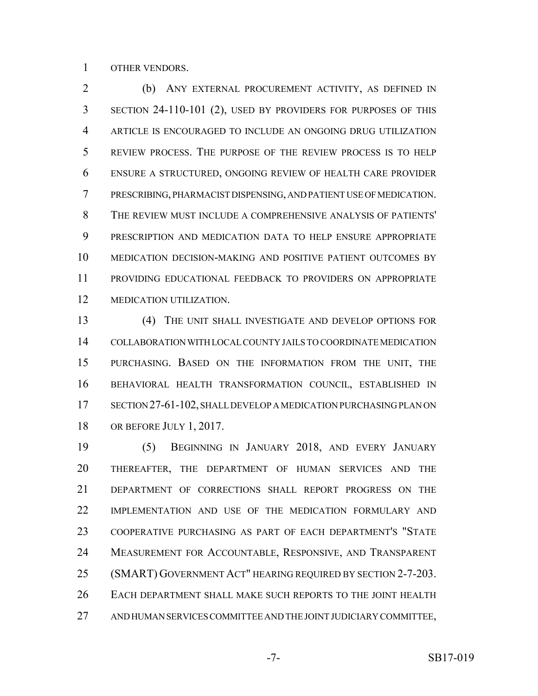OTHER VENDORS.

 (b) ANY EXTERNAL PROCUREMENT ACTIVITY, AS DEFINED IN SECTION 24-110-101 (2), USED BY PROVIDERS FOR PURPOSES OF THIS ARTICLE IS ENCOURAGED TO INCLUDE AN ONGOING DRUG UTILIZATION REVIEW PROCESS. THE PURPOSE OF THE REVIEW PROCESS IS TO HELP ENSURE A STRUCTURED, ONGOING REVIEW OF HEALTH CARE PROVIDER PRESCRIBING, PHARMACIST DISPENSING, AND PATIENT USE OF MEDICATION. THE REVIEW MUST INCLUDE A COMPREHENSIVE ANALYSIS OF PATIENTS' PRESCRIPTION AND MEDICATION DATA TO HELP ENSURE APPROPRIATE MEDICATION DECISION-MAKING AND POSITIVE PATIENT OUTCOMES BY PROVIDING EDUCATIONAL FEEDBACK TO PROVIDERS ON APPROPRIATE MEDICATION UTILIZATION.

 (4) THE UNIT SHALL INVESTIGATE AND DEVELOP OPTIONS FOR COLLABORATION WITH LOCAL COUNTY JAILS TO COORDINATE MEDICATION PURCHASING. BASED ON THE INFORMATION FROM THE UNIT, THE BEHAVIORAL HEALTH TRANSFORMATION COUNCIL, ESTABLISHED IN 17 SECTION 27-61-102, SHALL DEVELOP A MEDICATION PURCHASING PLAN ON OR BEFORE JULY 1, 2017.

 (5) BEGINNING IN JANUARY 2018, AND EVERY JANUARY THEREAFTER, THE DEPARTMENT OF HUMAN SERVICES AND THE DEPARTMENT OF CORRECTIONS SHALL REPORT PROGRESS ON THE IMPLEMENTATION AND USE OF THE MEDICATION FORMULARY AND COOPERATIVE PURCHASING AS PART OF EACH DEPARTMENT'S "STATE MEASUREMENT FOR ACCOUNTABLE, RESPONSIVE, AND TRANSPARENT (SMART) GOVERNMENT ACT" HEARING REQUIRED BY SECTION 2-7-203. EACH DEPARTMENT SHALL MAKE SUCH REPORTS TO THE JOINT HEALTH AND HUMAN SERVICES COMMITTEE AND THE JOINT JUDICIARY COMMITTEE,